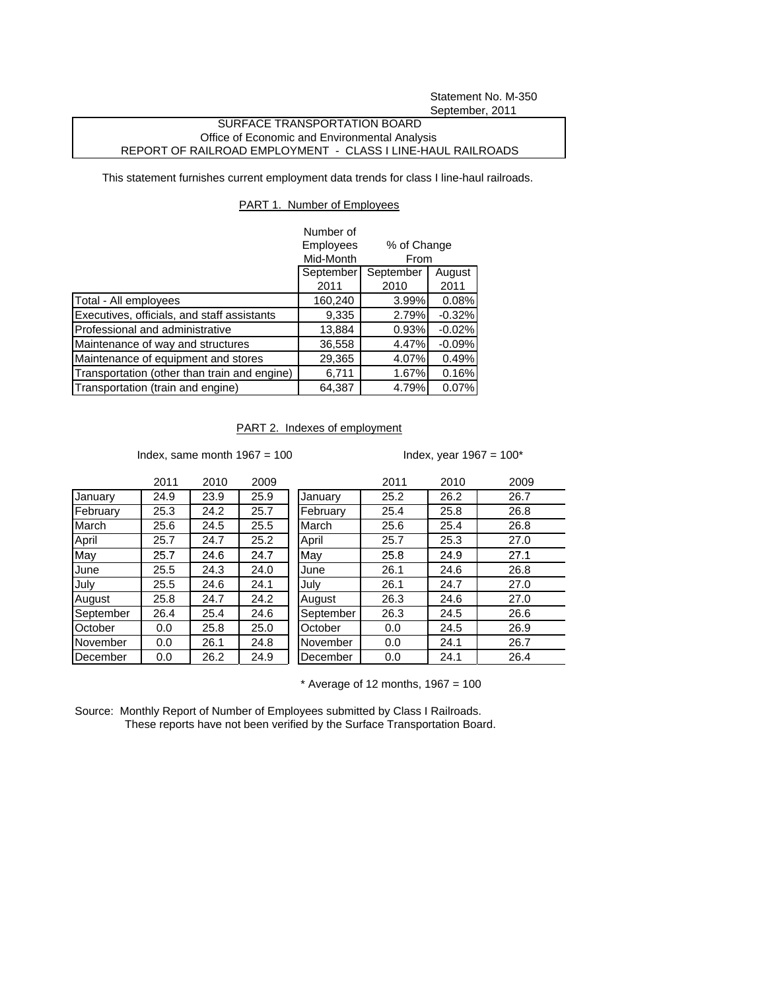Statement No. M-350 September, 2011

## SURFACE TRANSPORTATION BOARD Office of Economic and Environmental Analysis REPORT OF RAILROAD EMPLOYMENT - CLASS I LINE-HAUL RAILROADS

This statement furnishes current employment data trends for class I line-haul railroads.

## PART 1. Number of Employees

|                                              | Number of                |           |          |
|----------------------------------------------|--------------------------|-----------|----------|
|                                              | Employees<br>% of Change |           |          |
|                                              | Mid-Month                | From      |          |
|                                              | September                | September | August   |
|                                              | 2011                     | 2010      | 2011     |
| Total - All employees                        | 160,240                  | 3.99%     | 0.08%    |
| Executives, officials, and staff assistants  | 9,335                    | 2.79%     | $-0.32%$ |
| Professional and administrative              | 13,884                   | 0.93%     | $-0.02%$ |
| Maintenance of way and structures            | 36,558                   | 4.47%     | $-0.09%$ |
| Maintenance of equipment and stores          | 29,365                   | 4.07%     | 0.49%    |
| Transportation (other than train and engine) | 6,711                    | 1.67%     | 0.16%    |
| Transportation (train and engine)            | 64,387                   | 4.79%     | 0.07%    |

## PART 2. Indexes of employment

Index, same month  $1967 = 100$  Index, year  $1967 = 100^*$ 

|           | 2011 | 2010 | 2009 |
|-----------|------|------|------|
| January   | 24.9 | 23.9 | 25.9 |
| February  | 25.3 | 24.2 | 25.7 |
| March     | 25.6 | 24.5 | 25.5 |
| April     | 25.7 | 24.7 | 25.2 |
| Mav       | 25.7 | 24.6 | 24.7 |
| June      | 25.5 | 24.3 | 24.0 |
| July      | 25.5 | 24.6 | 24.1 |
| August    | 25.8 | 24.7 | 24.2 |
| September | 26.4 | 25.4 | 24.6 |
| October   | 0.0  | 25.8 | 25.0 |
| November  | 0.0  | 26.1 | 24.8 |
| December  | 0.0  | 26.2 | 24.9 |

|           | 2011 | 2010 | 2009 |           | 2011 | 2010 | 2009 |
|-----------|------|------|------|-----------|------|------|------|
| January   | 24.9 | 23.9 | 25.9 | January   | 25.2 | 26.2 | 26.7 |
| February  | 25.3 | 24.2 | 25.7 | February  | 25.4 | 25.8 | 26.8 |
| March     | 25.6 | 24.5 | 25.5 | March     | 25.6 | 25.4 | 26.8 |
| April     | 25.7 | 24.7 | 25.2 | April     | 25.7 | 25.3 | 27.0 |
| May       | 25.7 | 24.6 | 24.7 | May       | 25.8 | 24.9 | 27.1 |
| June      | 25.5 | 24.3 | 24.0 | June      | 26.1 | 24.6 | 26.8 |
| July      | 25.5 | 24.6 | 24.1 | July      | 26.1 | 24.7 | 27.0 |
| August    | 25.8 | 24.7 | 24.2 | August    | 26.3 | 24.6 | 27.0 |
| September | 26.4 | 25.4 | 24.6 | September | 26.3 | 24.5 | 26.6 |
| October   | 0.0  | 25.8 | 25.0 | October   | 0.0  | 24.5 | 26.9 |
| November  | 0.0  | 26.1 | 24.8 | November  | 0.0  | 24.1 | 26.7 |
| December  | 0.0  | 26.2 | 24.9 | December  | 0.0  | 24.1 | 26.4 |
|           |      |      |      |           |      |      |      |

 $*$  Average of 12 months, 1967 = 100

Source: Monthly Report of Number of Employees submitted by Class I Railroads. These reports have not been verified by the Surface Transportation Board.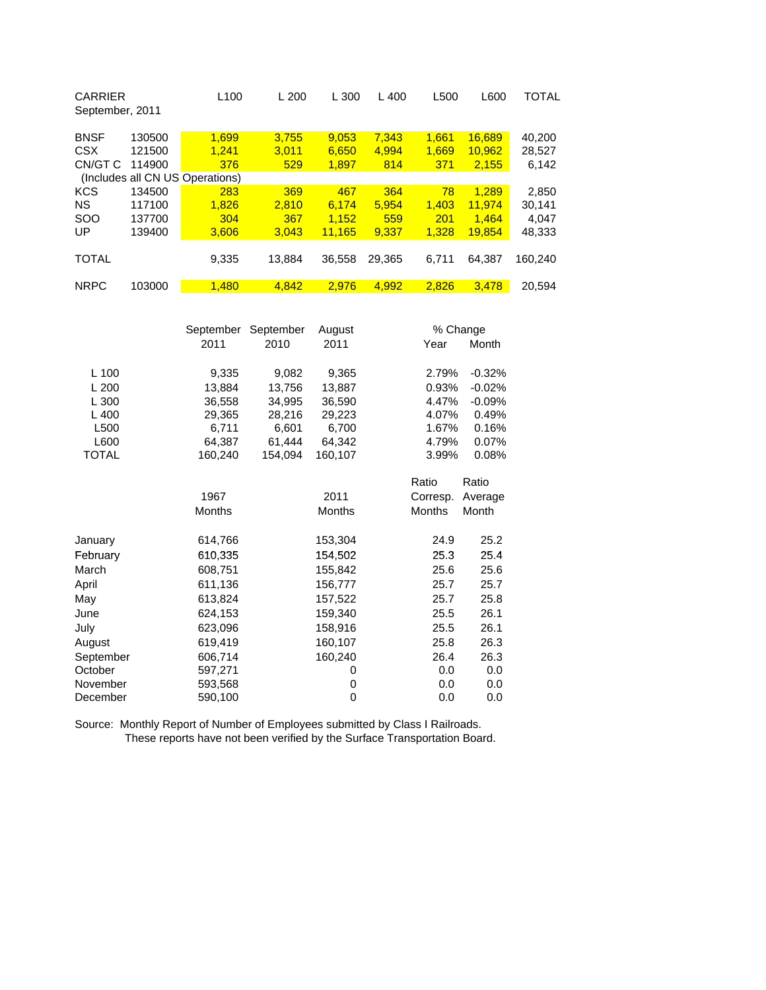| <b>CARRIER</b><br>September, 2011 |        | L <sub>100</sub>                | L200   | L 300  | 400<br>L | L500  | L600   | TOTAL   |
|-----------------------------------|--------|---------------------------------|--------|--------|----------|-------|--------|---------|
| <b>BNSF</b>                       | 130500 | 1.699                           | 3.755  | 9,053  | 7,343    | 1.661 | 16,689 | 40,200  |
| <b>CSX</b>                        | 121500 | 1.241                           | 3.011  | 6,650  | 4.994    | 1.669 | 10,962 | 28,527  |
| CN/GT C                           | 114900 | 376                             | 529    | 1,897  | 814      | 371   | 2,155  | 6,142   |
|                                   |        | (Includes all CN US Operations) |        |        |          |       |        |         |
| <b>KCS</b>                        | 134500 | 283                             | 369    | 467    | 364      | 78    | 1.289  | 2,850   |
| <b>NS</b>                         | 117100 | 1.826                           | 2.810  | 6.174  | 5.954    | 1.403 | 11.974 | 30.141  |
| <b>SOO</b>                        | 137700 | 304                             | 367    | 1.152  | 559      | 201   | 1.464  | 4.047   |
| UP                                | 139400 | 3.606                           | 3.043  | 11.165 | 9.337    | 1.328 | 19.854 | 48,333  |
|                                   |        |                                 |        |        |          |       |        |         |
| <b>TOTAL</b>                      |        | 9,335                           | 13.884 | 36,558 | 29.365   | 6,711 | 64.387 | 160.240 |
|                                   |        |                                 |        |        |          |       |        |         |
| <b>NRPC</b>                       | 103000 | 1.480                           | 4.842  | 2.976  | 4.992    | 2.826 | 3.478  | 20.594  |

| September     | August                                                                                                                                                 |                                                                     |                                                                                                                                                                   | % Change                                                                                                         |  |
|---------------|--------------------------------------------------------------------------------------------------------------------------------------------------------|---------------------------------------------------------------------|-------------------------------------------------------------------------------------------------------------------------------------------------------------------|------------------------------------------------------------------------------------------------------------------|--|
| 2011          | 2010                                                                                                                                                   | 2011                                                                | Year                                                                                                                                                              | Month                                                                                                            |  |
|               |                                                                                                                                                        |                                                                     |                                                                                                                                                                   | $-0.32%$                                                                                                         |  |
|               |                                                                                                                                                        |                                                                     |                                                                                                                                                                   |                                                                                                                  |  |
|               |                                                                                                                                                        |                                                                     |                                                                                                                                                                   | $-0.02%$<br>$-0.09%$                                                                                             |  |
|               |                                                                                                                                                        |                                                                     |                                                                                                                                                                   | 0.49%                                                                                                            |  |
|               |                                                                                                                                                        |                                                                     |                                                                                                                                                                   | 0.16%                                                                                                            |  |
|               |                                                                                                                                                        |                                                                     |                                                                                                                                                                   | 0.07%                                                                                                            |  |
| 160,240       | 154,094                                                                                                                                                | 160,107                                                             |                                                                                                                                                                   | 0.08%                                                                                                            |  |
|               |                                                                                                                                                        |                                                                     |                                                                                                                                                                   | Ratio                                                                                                            |  |
|               |                                                                                                                                                        |                                                                     |                                                                                                                                                                   | Average                                                                                                          |  |
| <b>Months</b> |                                                                                                                                                        | <b>Months</b>                                                       | <b>Months</b>                                                                                                                                                     | Month                                                                                                            |  |
|               |                                                                                                                                                        |                                                                     |                                                                                                                                                                   | 25.2                                                                                                             |  |
|               |                                                                                                                                                        |                                                                     |                                                                                                                                                                   | 25.4                                                                                                             |  |
|               |                                                                                                                                                        |                                                                     |                                                                                                                                                                   | 25.6                                                                                                             |  |
|               |                                                                                                                                                        |                                                                     | 25.7                                                                                                                                                              | 25.7                                                                                                             |  |
|               |                                                                                                                                                        |                                                                     | 25.7                                                                                                                                                              | 25.8                                                                                                             |  |
| 624,153       |                                                                                                                                                        |                                                                     |                                                                                                                                                                   | 26.1                                                                                                             |  |
|               |                                                                                                                                                        |                                                                     | 25.5                                                                                                                                                              | 26.1                                                                                                             |  |
|               |                                                                                                                                                        |                                                                     | 25.8                                                                                                                                                              | 26.3                                                                                                             |  |
|               |                                                                                                                                                        |                                                                     | 26.4                                                                                                                                                              | 26.3                                                                                                             |  |
| 597,271       |                                                                                                                                                        | 0                                                                   | 0.0                                                                                                                                                               | 0.0                                                                                                              |  |
| 593,568       |                                                                                                                                                        | 0                                                                   | 0.0                                                                                                                                                               | 0.0                                                                                                              |  |
| 590,100       |                                                                                                                                                        | 0                                                                   | 0.0                                                                                                                                                               | 0.0                                                                                                              |  |
|               | 9,335<br>13,884<br>36,558<br>29,365<br>6,711<br>64,387<br>1967<br>614,766<br>610,335<br>608,751<br>611,136<br>613,824<br>623,096<br>619,419<br>606,714 | September<br>9,082<br>13,756<br>34,995<br>28,216<br>6,601<br>61,444 | 9,365<br>13,887<br>36,590<br>29,223<br>6,700<br>64,342<br>2011<br>153,304<br>154,502<br>155,842<br>156,777<br>157,522<br>159,340<br>158,916<br>160,107<br>160,240 | 2.79%<br>0.93%<br>4.47%<br>4.07%<br>1.67%<br>4.79%<br>3.99%<br>Ratio<br>Corresp.<br>24.9<br>25.3<br>25.6<br>25.5 |  |

Source: Monthly Report of Number of Employees submitted by Class I Railroads. These reports have not been verified by the Surface Transportation Board.